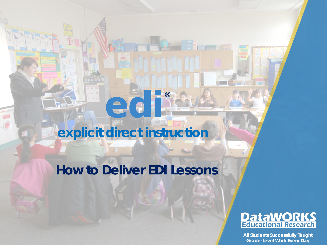# **explicit direct instruction**

**edi**

®

# **How to Deliver EDI Lessons**

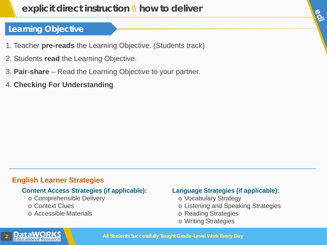# **explicit direct instruction \\ how to deliver**

# **Learning Objective**

- 1. Teacher **pre-reads** the Learning Objective. (Students track)
- 2. Students **read** the Learning Objective.
- 3. **Pair-share** Read the Learning Objective to your partner.
- 4. **Checking For Understanding**

#### **English Learner Strategies**

#### **Content Access Strategies (if applicable):**

- o Comprehensible Delivery
- o Context Clues
- o Accessible Materials

#### **Language Strategies (if applicable):**

- o Vocabulary Strategy
- o Listening and Speaking Strategies

le.

- o Reading Strategies
- o Writing Strategies

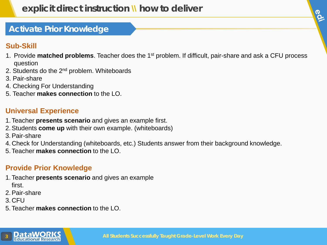# P.

# **Activate Prior Knowledge**

# **Sub-Skill**

- 1. Provide **matched problems**. Teacher does the 1st problem. If difficult, pair-share and ask a CFU process question
- 2. Students do the 2<sup>nd</sup> problem. Whiteboards
- 3. Pair-share
- 4. Checking For Understanding
- 5. Teacher **makes connection** to the LO.

### **Universal Experience**

- 1.Teacher **presents scenario** and gives an example first.
- 2.Students **come up** with their own example. (whiteboards)
- 3.Pair-share
- 4. Check for Understanding (whiteboards, etc.) Students answer from their background knowledge.
- 5.Teacher **makes connection** to the LO.

## **Provide Prior Knowledge**

- 1.Teacher **presents scenario** and gives an example first.
- 2.Pair-share
- 3. CFU
- 5.Teacher **makes connection** to the LO.

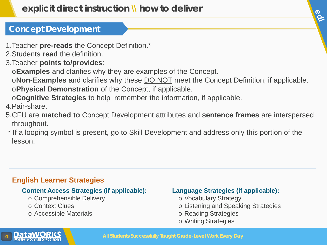# **Concept Development**

- 1.Teacher **pre-reads** the Concept Definition.\*
- 2.Students **read** the definition.
- 3.Teacher **points to/provides**:
	- o**Examples** and clarifies why they are examples of the Concept.
	- o**Non-Examples** and clarifies why these DO NOT meet the Concept Definition, if applicable. o**Physical Demonstration** of the Concept, if applicable.
	- o**Cognitive Strategies** to help remember the information, if applicable.
- 4.Pair-share.
- 5.CFU are **matched to** Concept Development attributes and **sentence frames** are interspersed throughout.
- \* If a looping symbol is present, go to Skill Development and address only this portion of the lesson.

# **English Learner Strategies**

#### **Content Access Strategies (if applicable):**

- o Comprehensible Delivery
- o Context Clues
- o Accessible Materials

#### **Language Strategies (if applicable):**

- o Vocabulary Strategy
- o Listening and Speaking Strategies

IP.

- o Reading Strategies
- o Writing Strategies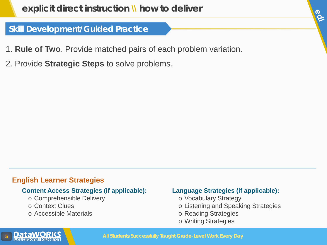## **Skill Development/Guided Practice**

- 1. **Rule of Two**. Provide matched pairs of each problem variation.
- 2. Provide **Strategic Steps** to solve problems.

#### **English Learner Strategies**

#### **Content Access Strategies (if applicable):**

- o Comprehensible Delivery
- o Context Clues
- o Accessible Materials

#### **Language Strategies (if applicable):**

- o Vocabulary Strategy
- o Listening and Speaking Strategies

JO.

- o Reading Strategies
- o Writing Strategies

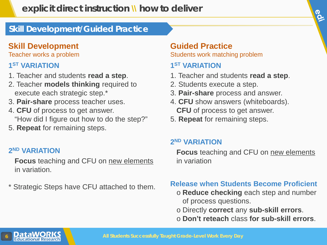# **Skill Development/Guided Practice**

# **Skill Development**

Teacher works a problem

# **1ST VARIATION**

- 1. Teacher and students **read a step**.
- 2. Teacher **models thinking** required to execute each strategic step.\*
- 3. **Pair-share** process teacher uses.
- 4. **CFU** of process to get answer. "How did I figure out how to do the step?"
- 5. **Repeat** for remaining steps.

## **2ND VARIATION**

**Focus** teaching and CFU on new elements in variation.

\* Strategic Steps have CFU attached to them.

# **Guided Practice**

Students work matching problem

# **1ST VARIATION**

- 1. Teacher and students **read a step**.
- 2. Students execute a step.
- 3. **Pair-share** process and answer.
- 4. **CFU** show answers (whiteboards). **CFU** of process to get answer.
- 5. **Repeat** for remaining steps.

# **2ND VARIATION**

**Focus** teaching and CFU on new elements in variation

le.

## **Release when Students Become Proficient**

- o **Reduce checking** each step and number of process questions.
- o Directly **correct** any **sub-skill errors**.
- o **Don't reteach** class **for sub-skill errors**.

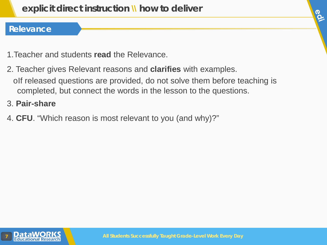### **Relevance**

- 1.Teacher and students **read** the Relevance.
- 2. Teacher gives Relevant reasons and **clarifies** with examples. oIf released questions are provided, do not solve them before teaching is completed, but connect the words in the lesson to the questions.
- 3. **Pair-share**
- 4. **CFU**. "Which reason is most relevant to you (and why)?"



**OCT**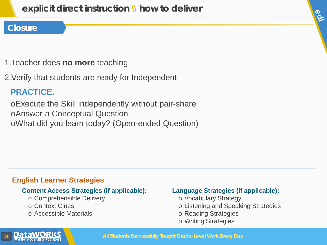#### **Closure**

- 1.Teacher does **no more** teaching.
- 2.Verify that students are ready for Independent

# **PRACTICE.**

oExecute the Skill independently without pair-share oAnswer a Conceptual Question oWhat did you learn today? (Open-ended Question)

#### **English Learner Strategies**

#### **Content Access Strategies (if applicable):**

- o Comprehensible Delivery
- o Context Clues
- o Accessible Materials

#### **Language Strategies (if applicable):**

- o Vocabulary Strategy
- o Listening and Speaking Strategies

le.

- o Reading Strategies
- o Writing Strategies